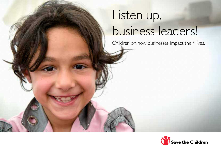## Listen up, business leaders!

Children on how businesses impact their lives.

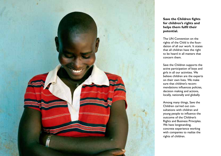

## **Save the Children fights for children's rights and helps them fulfil their potential.**

The UN Convention on the rights of the Child is the foundation of all our work. It states that all children have the right to be heard in all matters that concern them.

Save the Children supports the active participation of boys and girls in all our activities. We believe children are the experts on their own lives. We make sure that children's recommendations influences policies, decision making and actions, locally, nationally and globally.

Among many things, Save the Children carried out consultations with children and young people to influence the outcome of the Children's Rights and Business Principles. We have longstanding, concrete experience working with companies to realize the rights of children.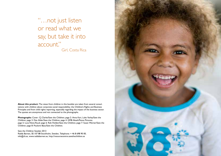"…not just listen or read what we say, but take it into account." Girl, Costa Rica

**About this product:** The views from children in this booklet are taken from several consultations with children about corporate social responsibility; the Children's Rights and Business Principles and from child rights reporting, especially regarding the impact of the business sector. The quotes are anonymous and not connected to the photographs.

Photographs: Cover: CJ Clarke/Save the Children; page 2: Anna Kari, Luke Varley/Save the Children; page 3: Dan Alder/Save the Children; page 4: GMB Akash/Panos Pictures; page 5: Luca Kleve-Ruud; page 6: Rob Holden/Save the Children; page 7: Susan Warner/Save the Children; page 8: Poulomi Basu/Save the Children.

Save the Children Sweden 2013 Rädda Barnen, SE-107 88 Stockholm, Sweden, Telephone: + 46 8 698 90 00, info@rb.se, www.raddabarnen.se, http://resoursecentre.savethechildren.se

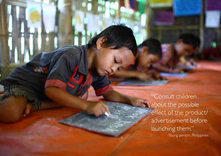"Consult children about the possible effect of the product/ advertisement before launching them." Young person, Philippines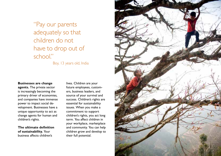"Pay our parents adequately so that children do not have to drop out of school"

Boy, 13 years old, India

## **Businesses are change**

**agents.** The private sector is increasingly becoming the primary driver of economies, and companies have immense power to impact social development. Businesses have a unique opportunity to act as change agents for human and children's rights.

**The ultimate definition of sustainability.** Your business affects children's

lives. Children are your future employees, customers, business leaders, and source of your survival and success. Children's rights are essential for sustainability issues. When you make a commitment to support children's rights, you act long term. You affect children in your workplace, marketplace and community. You can help children grow and develop to their full potential.

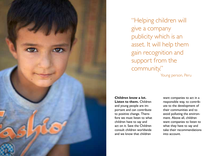

"Helping children will give a company publicity which is an asset. It will help them gain recognition and support from the community." Young person, Peru

**Children know a lot. Listen to them.** Children and young people are important and can contribute to positive change. Therefore we must listen to what children have to say and act on it. Save the Children consult children worldwide and we know that children

want companies to act in a responsible way, to contribute to the development of their communities and to avoid polluting the environment. Above all, children want companies to listen to what they have to say and take their recommendations into account.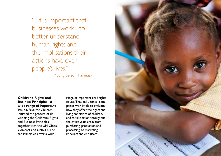"...it is important that businesses work... to better understand human rights and the implications their actions have over people's lives." Young person, Paraguay

**Children's Rights and Business Principles - a wide range of important issues.** Save the Children initiated the process of developing the Children's Rights and Business Principles, together with the UN Global Compact and UNICEF. The ten Principles cover a wide

range of important child rights issues. They call upon all companies worldwide to evaluate how they affect the rights and living conditions of children, and to take action throughout the entire value chain, from purchasing, production and processing, to marketing, re-sellers and end users.